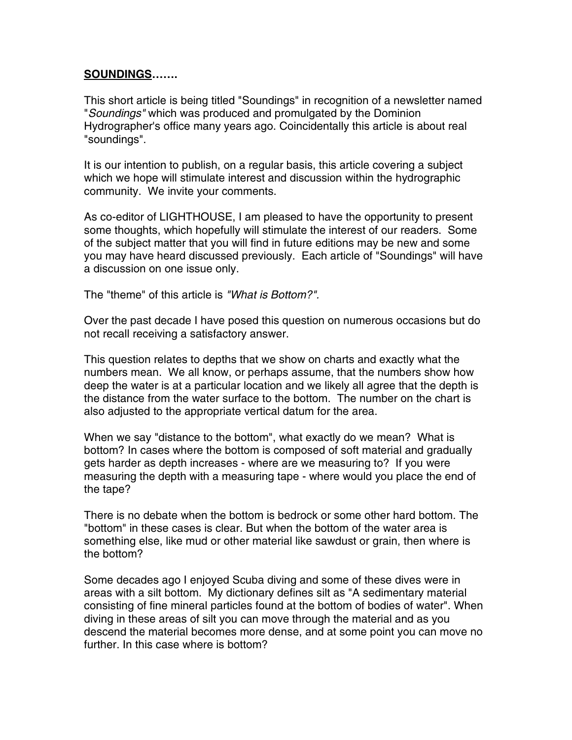## **SOUNDINGS…….**

This short article is being titled "Soundings" in recognition of a newsletter named "*Soundings"* which was produced and promulgated by the Dominion Hydrographer's office many years ago. Coincidentally this article is about real "soundings".

It is our intention to publish, on a regular basis, this article covering a subject which we hope will stimulate interest and discussion within the hydrographic community. We invite your comments.

As co-editor of LIGHTHOUSE, I am pleased to have the opportunity to present some thoughts, which hopefully will stimulate the interest of our readers. Some of the subject matter that you will find in future editions may be new and some you may have heard discussed previously. Each article of "Soundings" will have a discussion on one issue only.

The "theme" of this article is *"What is Bottom?".*

Over the past decade I have posed this question on numerous occasions but do not recall receiving a satisfactory answer.

This question relates to depths that we show on charts and exactly what the numbers mean. We all know, or perhaps assume, that the numbers show how deep the water is at a particular location and we likely all agree that the depth is the distance from the water surface to the bottom. The number on the chart is also adjusted to the appropriate vertical datum for the area.

When we say "distance to the bottom", what exactly do we mean? What is bottom? In cases where the bottom is composed of soft material and gradually gets harder as depth increases - where are we measuring to? If you were measuring the depth with a measuring tape - where would you place the end of the tape?

There is no debate when the bottom is bedrock or some other hard bottom. The "bottom" in these cases is clear. But when the bottom of the water area is something else, like mud or other material like sawdust or grain, then where is the bottom?

Some decades ago I enjoyed Scuba diving and some of these dives were in areas with a silt bottom. My dictionary defines silt as "A sedimentary material consisting of fine mineral particles found at the bottom of bodies of water". When diving in these areas of silt you can move through the material and as you descend the material becomes more dense, and at some point you can move no further. In this case where is bottom?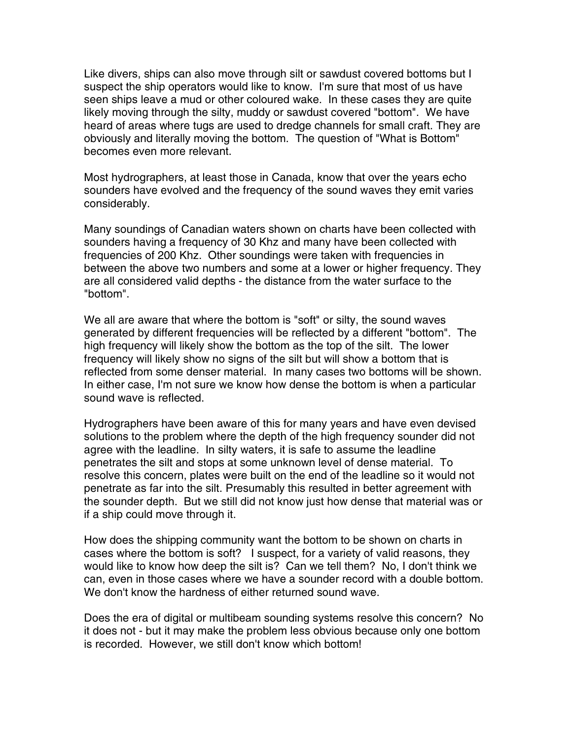Like divers, ships can also move through silt or sawdust covered bottoms but I suspect the ship operators would like to know. I'm sure that most of us have seen ships leave a mud or other coloured wake. In these cases they are quite likely moving through the silty, muddy or sawdust covered "bottom". We have heard of areas where tugs are used to dredge channels for small craft. They are obviously and literally moving the bottom. The question of "What is Bottom" becomes even more relevant.

Most hydrographers, at least those in Canada, know that over the years echo sounders have evolved and the frequency of the sound waves they emit varies considerably.

Many soundings of Canadian waters shown on charts have been collected with sounders having a frequency of 30 Khz and many have been collected with frequencies of 200 Khz. Other soundings were taken with frequencies in between the above two numbers and some at a lower or higher frequency. They are all considered valid depths - the distance from the water surface to the "bottom".

We all are aware that where the bottom is "soft" or silty, the sound waves generated by different frequencies will be reflected by a different "bottom". The high frequency will likely show the bottom as the top of the silt. The lower frequency will likely show no signs of the silt but will show a bottom that is reflected from some denser material. In many cases two bottoms will be shown. In either case, I'm not sure we know how dense the bottom is when a particular sound wave is reflected.

Hydrographers have been aware of this for many years and have even devised solutions to the problem where the depth of the high frequency sounder did not agree with the leadline. In silty waters, it is safe to assume the leadline penetrates the silt and stops at some unknown level of dense material. To resolve this concern, plates were built on the end of the leadline so it would not penetrate as far into the silt. Presumably this resulted in better agreement with the sounder depth. But we still did not know just how dense that material was or if a ship could move through it.

How does the shipping community want the bottom to be shown on charts in cases where the bottom is soft? I suspect, for a variety of valid reasons, they would like to know how deep the silt is? Can we tell them? No, I don't think we can, even in those cases where we have a sounder record with a double bottom. We don't know the hardness of either returned sound wave.

Does the era of digital or multibeam sounding systems resolve this concern? No it does not - but it may make the problem less obvious because only one bottom is recorded. However, we still don't know which bottom!